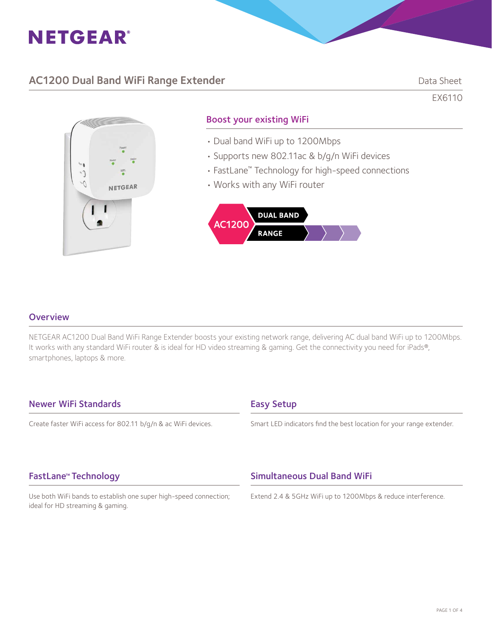

## AC1200 Dual Band WiFi Range Extender **Data Sheet** Data Sheet

EX6110

G, NETGEAR

### Boost your existing WiFi

- Dual band WiFi up to 1200Mbps
- Supports new 802.11ac & b/g/n WiFi devices
- FastLane™ Technology for high-speed connections
- Works with any WiFi router



### **Overview**

NETGEAR AC1200 Dual Band WiFi Range Extender boosts your existing network range, delivering AC dual band WiFi up to 1200Mbps. It works with any standard WiFi router & is ideal for HD video streaming & gaming. Get the connectivity you need for iPads®, smartphones, laptops & more.

### Newer WiFi Standards

Create faster WiFi access for 802.11 b/g/n & ac WiFi devices.

### Easy Setup

Smart LED indicators find the best location for your range extender.

### FastLane™ Technology

Use both WiFi bands to establish one super high-speed connection; ideal for HD streaming & gaming.

### Simultaneous Dual Band WiFi

Extend 2.4 & 5GHz WiFi up to 1200Mbps & reduce interference.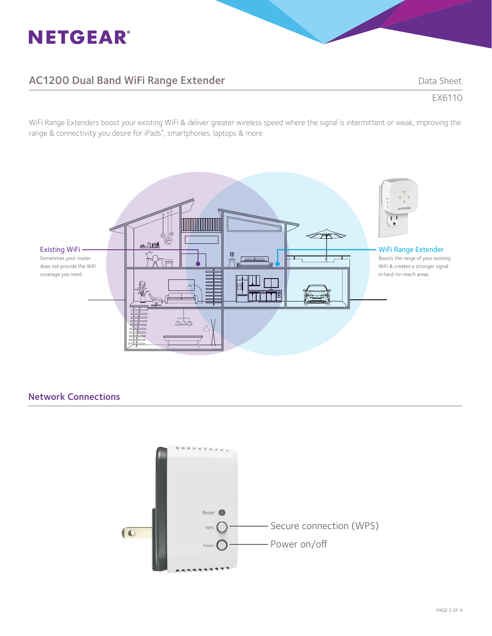# **NETGEAR®**

# AC1200 Dual Band WiFi Range Extender National Band Sheet

EX6110

WiFi Range Extenders boost your existing WiFi & deliver greater wireless speed where the signal is intermittent or weak, improving the range & connectivity you desire for iPads® , smartphones, laptops & more.



### Network Connections

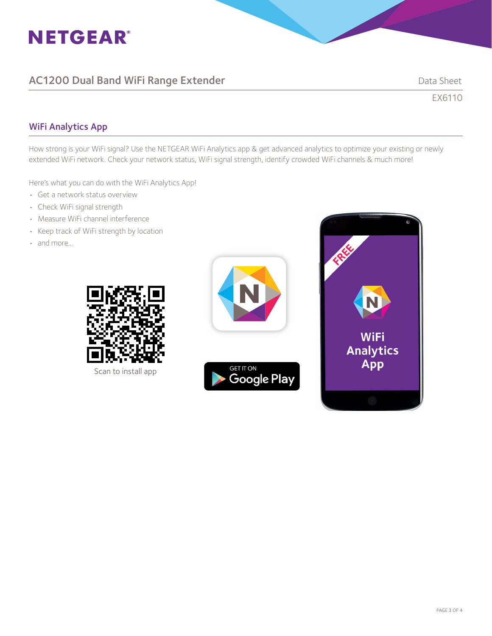

# AC1200 Dual Band WiFi Range Extender National Sheet Data Sheet

EX6110

### WiFi Analytics App

How strong is your WiFi signal? Use the NETGEAR WiFi Analytics app & get advanced analytics to optimize your existing or newly extended WiFi network. Check your network status, WiFi signal strength, identify crowded WiFi channels & much more!

Here's what you can do with the WiFi Analytics App!

- Get a network status overview
- Check WiFi signal strength
- Measure WiFi channel interference
- Keep track of WiFi strength by location
- and more...



Scan to install app